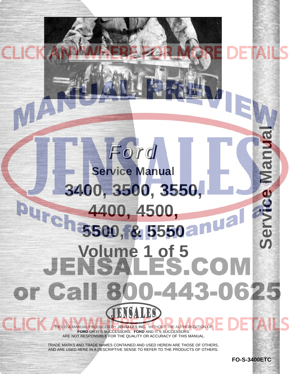## **Service Manual**Manua *Ford* **Service Manual [3400, 3500, 3550,](http://www.jensales.com/products/ford-industrial-tractor-service-manual.html)** TCB Pure **4400, 4500, 5500, & 5550** Ser **Volume 1 of 5** or Call 800-443-0625 ENCALES THIS IS A MANUAL PRODUCED BY **JENSALES INC.** WITHOUT THE AUTHORIZATION OF

**FORD** OR IT'S SUCCESSORS. **FORD** AND IT'S SUCCESSORS ARE NOT RESPONSIBLE FOR THE QUALITY OR ACCURACY OF THIS MANUAL.

TRADE MARKS AND TRADE NAMES CONTAINED AND USED HEREIN ARE THOSE OF OTHERS, AND ARE USED HERE IN A DESCRIPTIVE SENSE TO REFER TO THE PRODUCTS OF OTHERS.

**FO-S-3400ETC**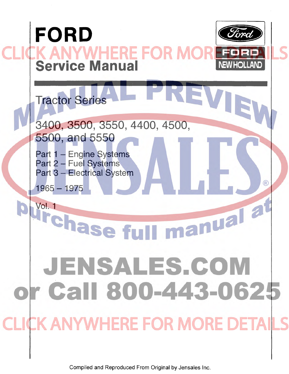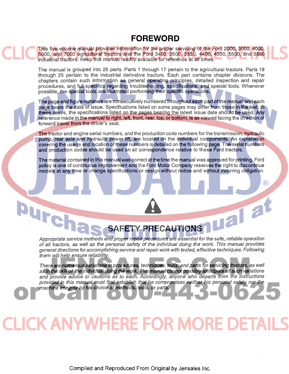#### **FOREWORD**

This five-volume manual provides information for the proper servicing of the Ford 2000, 3000, 4000, 5000, and 7000 agricultural tractors and the Ford 3400, 3500, 3550, 4400, 4500, 5500, and 5550 industrial tractors. Keep this manual readily available for reference at all times.

The manual is grouped into 25 parts. Parts 1 through 17 pertain to the agricultural tractors. Parts 18 through 25 pertain to the industrial derivative tractors. Each part contains chapter divisions. The chapters contain such information as general operating principles, detailed inspection and repair procedures, and full specifics regarding troubleshooting, specifications, and special tools. Whenever possible, the special tools are illustrated performing their specific operations.

The page and figure numbers are consecutively numbered throughout each part of the manual and each page bears the date of issue. Specifications listed on some pages may differ from those in the text. In these cases, the specifications listed on the pages bearing the latest issue date should be used. Any reference made in the manual to right, left, front, rear, top, or bottom, is as viewed facing the direction of forward travel from the driver's seat.

The tractor and engine serial numbers, and the production code numbers for the transmission, hydraulic pump, rear axle and hydraulic power lift, are located on the individual components. An explanation covering the usage and location of these numbers is detailed on the following page. The serial numbers and production codes should be used on all correspondence relative to these Ford tractors.

The material contained in this manual was correct at the time the manual was approved for printing. Ford policy is one of continuous improvement and the Ford Motor Company reserves the right to discontinue models at any time or change specifications or design without notice and without incurring obligation.

 $\left( \mathsf{R}\right)$ 

Purcha

**SAFETY PRECAUTIONS**  Appropriate service methods and proper repair procedures are essential for the safe, reliable operation of all tractors, as well as the personal safety of the individual doing the work. This manual provides general directions for accomplishing service and repair work with tested, effective techniques. Following them will help ensure reliability.

There are numerous variations in procedures, techniques, tools, and parts for servicing tractors, as well as [in the skill of the individual doing the work. This manual cannot possibly anticipate all such variations](http://www.jensales.com/products/ford-industrial-tractor-service-manual.html)  and provide advice or cautions as to each. Accordingly, anyone who departs from the instructions provided in this manual must first establish that he compromises neither his personal safety nor the machine integrity by his choice of methods, tools, or parts.

## **CLICK ANYWHERE FOR MORE**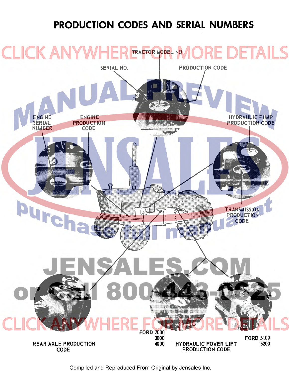### **[PRODUCTION CODES AND SERIAL NUMBERS](http://www.jensales.com/products/ford-industrial-tractor-service-manual.html)**

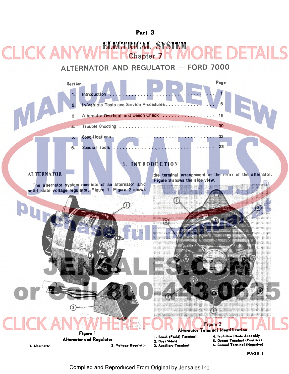#### ECTRICAL SYSTEM **KAN** DETA Chapter 7

ALTERNATOR AND REGULATOR - FORD 7000

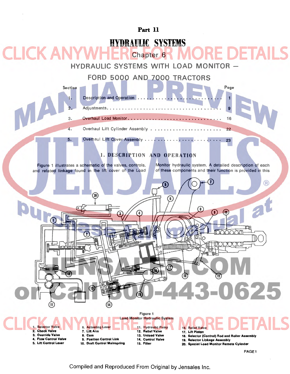

18. Selector (Control) Rod and Roller Assembly

19. Selector Linkage Assembly

20. Special Load Monitor Remote Cylinder

PAGE 1

Compiled and Reproduced From Original by Jensales Inc.

14. Control Valve 15. Filter

9. Position Control Link 10. Draft Control Mainspring

4. Flow Control Valve 5. Lift Control Lever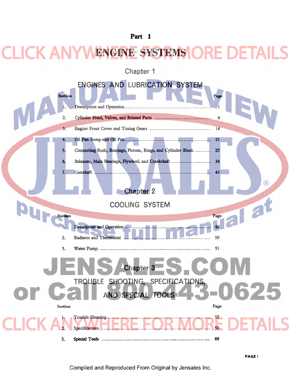## **WENGINE SYSTEMS ORE**

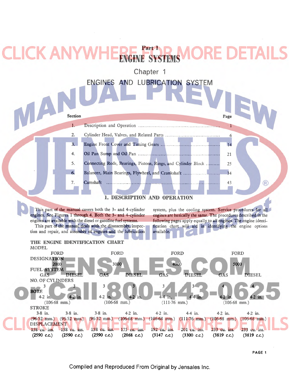#### Part I DETAILS CK AN' **ENSYSTEM**

Chapter 1



1. DESCRIPTION AND OPERATION

This part of the manual covers both the 3- and 4-cylinder engines. See Figures 1 through 4. Both the 3- and 4-cylinder engines are available with the diesel or gasoline fuel systems. This part of the manual deals with the disassembly, inspection and repair, and assembly of engines and the lubrication

system, plus the cooling system. Service procedures for all engines are basically the same. The procedures described in the following pages apply equally to all engines. The engine identification chart will aid in identifying. the engine options available.



PAGE 1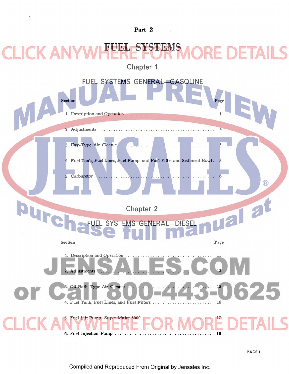# **FUEL SYSTEMS**

**Chapter 1 FUEL SYSTEMS GENERAL-GASOLINE**  Section Page 1. Description and Operation . . . . . . . . . . . . . . . . . . . . . . . . . . . . . . . . . . .. 1 2. Adjustments ............ . . . . . . . . . . . . . . . . . . . . . . . . . . . . . . . . .. 4 3. Dry-Type Air Cleaner... 4. Fuel Tank, Fuel Lines, Fuel Pump, and Fuel Filter and Sediment Bowl. 5. Carburetor ................................................ 6  $\circledR$ pure Tal a **Chapter 2 SYSTEMS GENERAL** Section Page 1. Description and Operation . . . . . . . . . . . . . . . . . . . . . . . . . . . . . . . . . .. 11 2. Adjustments .............................................. 13 3. Oil Bath Type Air Cleaner. 4. Fuel Tank, Fuel Lines, and Fuel Filters. . . . . . . . . . . . . . . . . . . . . . .. 16 5. Fuel Lift Pump-Super Major 5000 . . . [6. Fuel Injection Pump ....................................... 18](http://www.jensales.com/products/ford-industrial-tractor-service-manual.html) 

PAGEi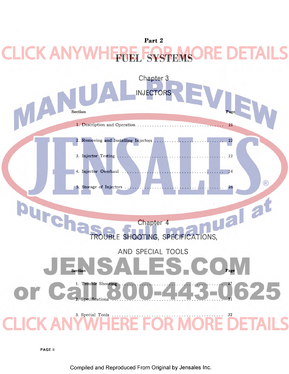#### **Part 2**  KA **SYST**



PAGE ii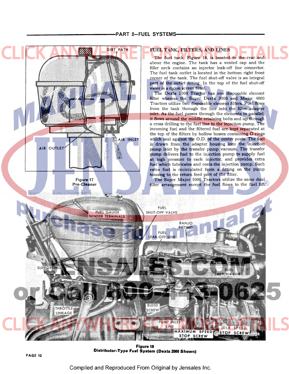

Figure 18 Distributor-Type Fuel System (Dexta 2000 Shown)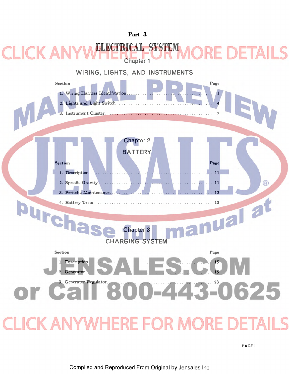

PAGEi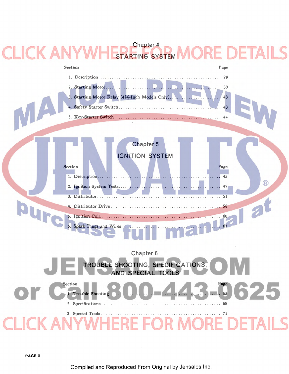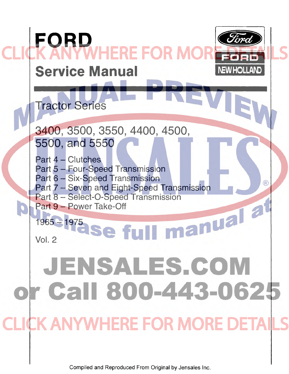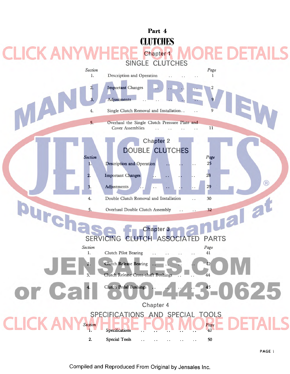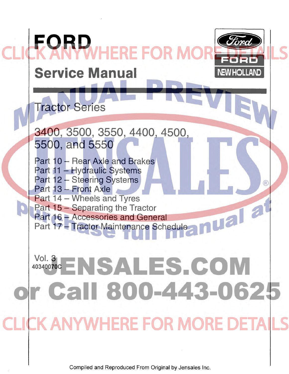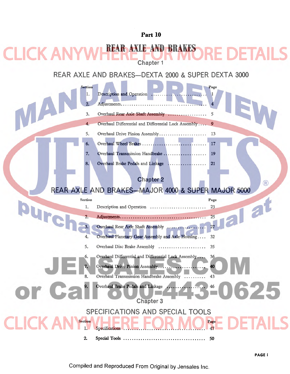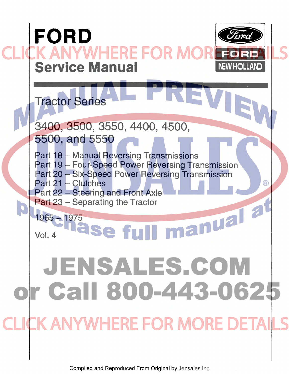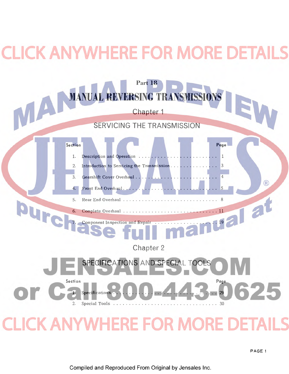# **CK ANYWHERE FOR MORE DETAILS**

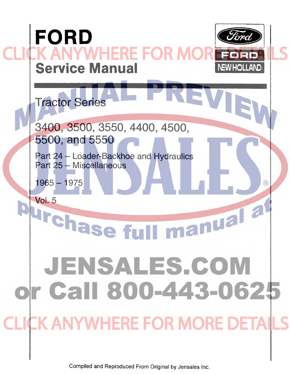